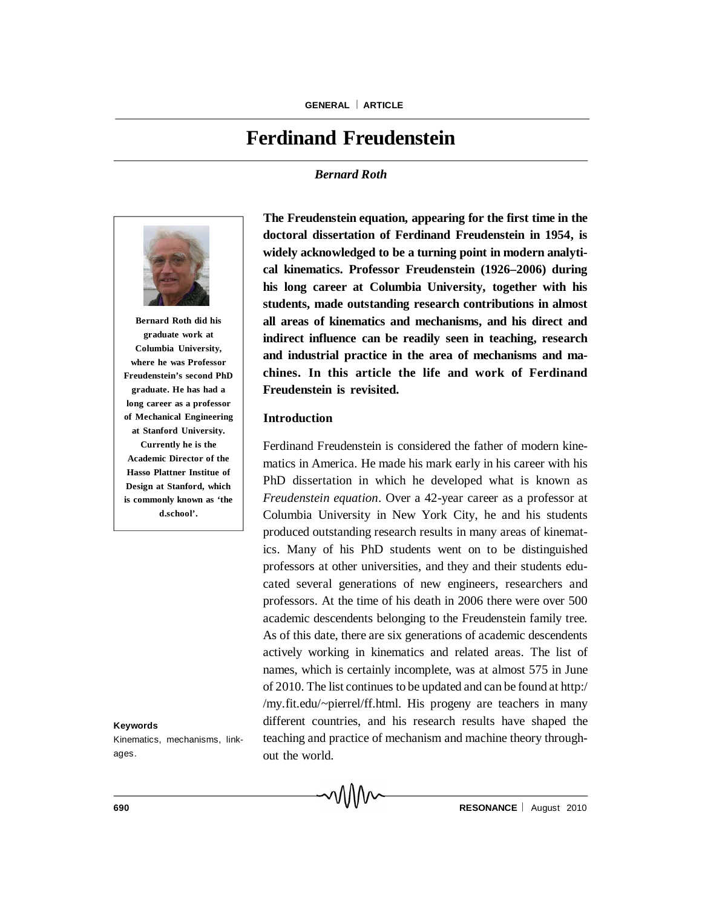# **Ferdinand Freudenstein**

#### *Bernard Roth*



**Bernard Roth did his graduate work at Columbia University, where he was Professor Freudenstein's second PhD graduate. He has had a long career as a professor of Mechanical Engineering at Stanford University. Currently he is the Academic Director of the Hasso Plattner Institue of Design at Stanford, which is commonly known as 'the d.school'.**

#### **Keywords**

Kinematics, mechanisms, linkages.

**The Freudenstein equation, appearing for the first time in the doctoral dissertation of Ferdinand Freudenstein in 1954, is widely acknowledged to be a turning point in modern analytical kinematics. Professor Freudenstein (1926–2006) during his long career at Columbia University, together with his students, made outstanding research contributions in almost all areas of kinematics and mechanisms, and his direct and indirect influence can be readily seen in teaching, research and industrial practice in the area of mechanisms and machines. In this article the life and work of Ferdinand Freudenstein is revisited.**

#### **Introduction**

Ferdinand Freudenstein is considered the father of modern kinematics in America. He made his mark early in his career with his PhD dissertation in which he developed what is known as *Freudenstein equation*. Over a 42-year career as a professor at Columbia University in New York City, he and his students produced outstanding research results in many areas of kinematics. Many of his PhD students went on to be distinguished professors at other universities, and they and their students educated several generations of new engineers, researchers and professors. At the time of his death in 2006 there were over 500 academic descendents belonging to the Freudenstein family tree. As of this date, there are six generations of academic descendents actively working in kinematics and related areas. The list of names, which is certainly incomplete, was at almost 575 in June of 2010. The list continues to be updated and can be found at http:/ /my.fit.edu/~pierrel/ff.html. His progeny are teachers in many different countries, and his research results have shaped the teaching and practice of mechanism and machine theory throughout the world.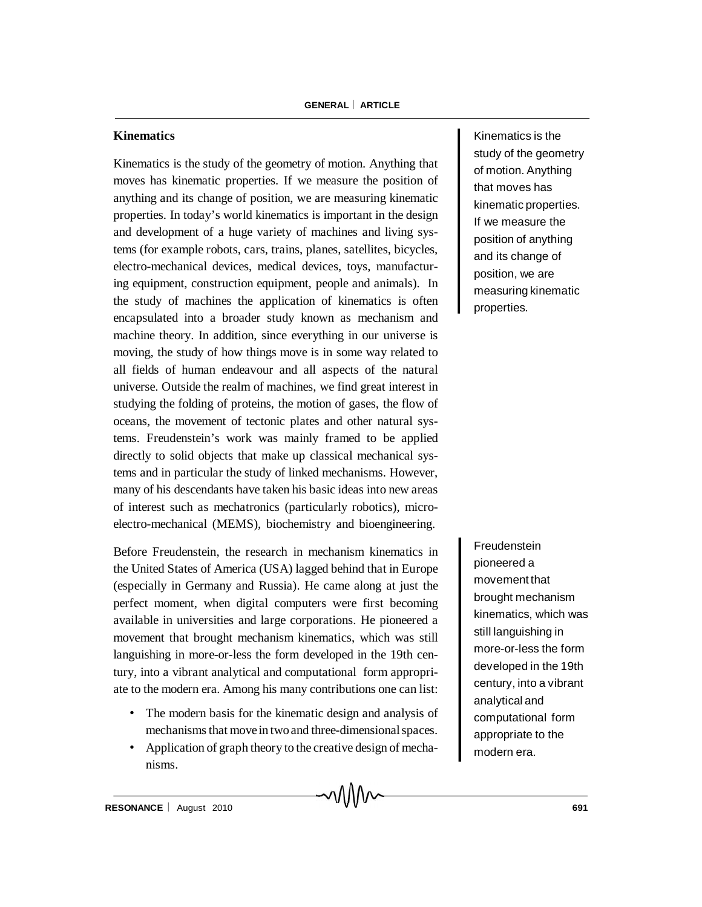#### **Kinematics**

Kinematics is the study of the geometry of motion. Anything that moves has kinematic properties. If we measure the position of anything and its change of position, we are measuring kinematic properties. In today's world kinematics is important in the design and development of a huge variety of machines and living systems (for example robots, cars, trains, planes, satellites, bicycles, electro-mechanical devices, medical devices, toys, manufacturing equipment, construction equipment, people and animals). In the study of machines the application of kinematics is often encapsulated into a broader study known as mechanism and machine theory. In addition, since everything in our universe is moving, the study of how things move is in some way related to all fields of human endeavour and all aspects of the natural universe. Outside the realm of machines, we find great interest in studying the folding of proteins, the motion of gases, the flow of oceans, the movement of tectonic plates and other natural systems. Freudenstein's work was mainly framed to be applied directly to solid objects that make up classical mechanical systems and in particular the study of linked mechanisms. However, many of his descendants have taken his basic ideas into new areas of interest such as mechatronics (particularly robotics), microelectro-mechanical (MEMS), biochemistry and bioengineering.

Before Freudenstein, the research in mechanism kinematics in the United States of America (USA) lagged behind that in Europe (especially in Germany and Russia). He came along at just the perfect moment, when digital computers were first becoming available in universities and large corporations. He pioneered a movement that brought mechanism kinematics, which was still languishing in more-or-less the form developed in the 19th century, into a vibrant analytical and computational form appropriate to the modern era. Among his many contributions one can list:

- The modern basis for the kinematic design and analysis of mechanisms that move in two and three-dimensional spaces.
- Application of graph theory to the creative design of mechanisms.

Kinematics is the study of the geometry of motion. Anything that moves has kinematic properties. If we measure the position of anything and its change of position, we are measuring kinematic properties.

Freudenstein pioneered a movement that brought mechanism kinematics, which was still languishing in more-or-less the form developed in the 19th century, into a vibrant analytical and computational form appropriate to the modern era.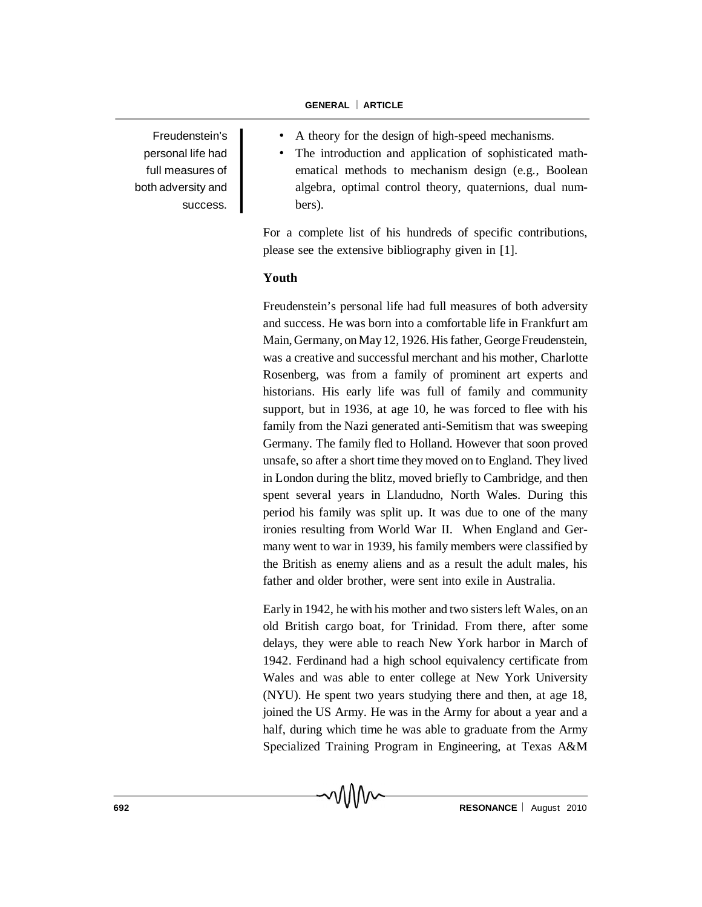Freudenstein's personal life had full measures of both adversity and success.

- A theory for the design of high-speed mechanisms.
- The introduction and application of sophisticated mathematical methods to mechanism design (e.g., Boolean algebra, optimal control theory, quaternions, dual numbers).

For a complete list of his hundreds of specific contributions, please see the extensive bibliography given in [1].

### **Youth**

Freudenstein's personal life had full measures of both adversity and success. He was born into a comfortable life in Frankfurt am Main, Germany, on May 12, 1926. His father, George Freudenstein, was a creative and successful merchant and his mother, Charlotte Rosenberg, was from a family of prominent art experts and historians. His early life was full of family and community support, but in 1936, at age 10, he was forced to flee with his family from the Nazi generated anti-Semitism that was sweeping Germany. The family fled to Holland. However that soon proved unsafe, so after a short time they moved on to England. They lived in London during the blitz, moved briefly to Cambridge, and then spent several years in Llandudno, North Wales. During this period his family was split up. It was due to one of the many ironies resulting from World War II. When England and Germany went to war in 1939, his family members were classified by the British as enemy aliens and as a result the adult males, his father and older brother, were sent into exile in Australia.

Early in 1942, he with his mother and two sisters left Wales, on an old British cargo boat, for Trinidad. From there, after some delays, they were able to reach New York harbor in March of 1942. Ferdinand had a high school equivalency certificate from Wales and was able to enter college at New York University (NYU). He spent two years studying there and then, at age 18, joined the US Army. He was in the Army for about a year and a half, during which time he was able to graduate from the Army Specialized Training Program in Engineering, at Texas A&M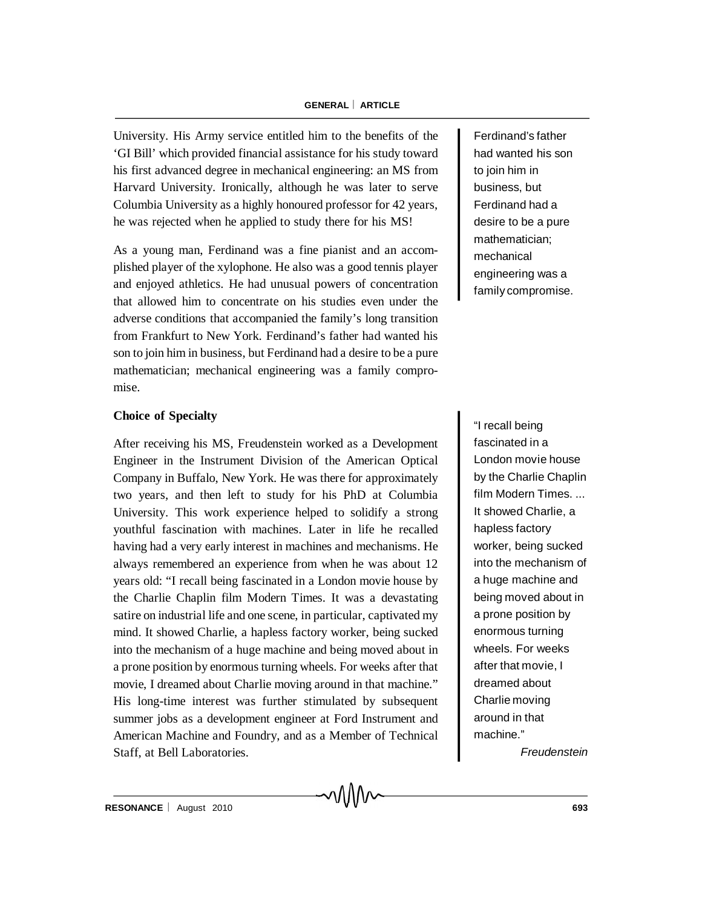University. His Army service entitled him to the benefits of the 'GI Bill' which provided financial assistance for his study toward his first advanced degree in mechanical engineering: an MS from Harvard University. Ironically, although he was later to serve Columbia University as a highly honoured professor for 42 years, he was rejected when he applied to study there for his MS!

As a young man, Ferdinand was a fine pianist and an accomplished player of the xylophone. He also was a good tennis player and enjoyed athletics. He had unusual powers of concentration that allowed him to concentrate on his studies even under the adverse conditions that accompanied the family's long transition from Frankfurt to New York. Ferdinand's father had wanted his son to join him in business, but Ferdinand had a desire to be a pure mathematician; mechanical engineering was a family compromise.

## **Choice of Specialty**

After receiving his MS, Freudenstein worked as a Development Engineer in the Instrument Division of the American Optical Company in Buffalo, New York. He was there for approximately two years, and then left to study for his PhD at Columbia University. This work experience helped to solidify a strong youthful fascination with machines. Later in life he recalled having had a very early interest in machines and mechanisms. He always remembered an experience from when he was about 12 years old: "I recall being fascinated in a London movie house by the Charlie Chaplin film Modern Times. It was a devastating satire on industrial life and one scene, in particular, captivated my mind. It showed Charlie, a hapless factory worker, being sucked into the mechanism of a huge machine and being moved about in a prone position by enormous turning wheels. For weeks after that movie, I dreamed about Charlie moving around in that machine." His long-time interest was further stimulated by subsequent summer jobs as a development engineer at Ford Instrument and American Machine and Foundry, and as a Member of Technical Staff, at Bell Laboratories.

Ferdinand's father had wanted his son to join him in business, but Ferdinand had a desire to be a pure mathematician; mechanical engineering was a family compromise.

"I recall being fascinated in a London movie house by the Charlie Chaplin film Modern Times. ... It showed Charlie, a hapless factory worker, being sucked into the mechanism of a huge machine and being moved about in a prone position by enormous turning wheels. For weeks after that movie, I dreamed about Charlie moving around in that machine."

*Freudenstein*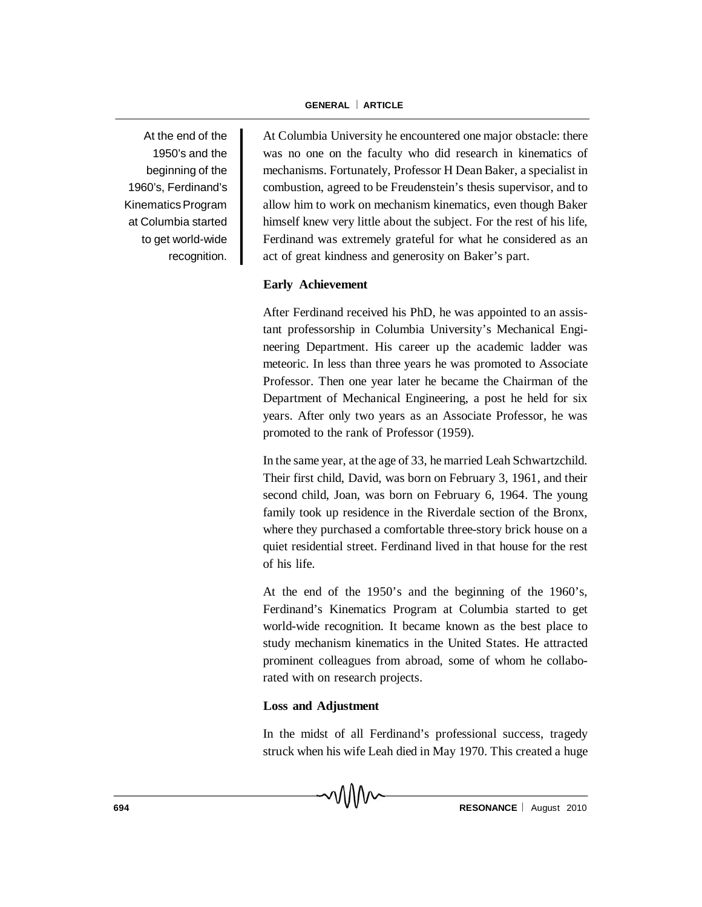At the end of the 1950's and the beginning of the 1960's, Ferdinand's Kinematics Program at Columbia started to get world-wide recognition.

At Columbia University he encountered one major obstacle: there was no one on the faculty who did research in kinematics of mechanisms. Fortunately, Professor H Dean Baker, a specialist in combustion, agreed to be Freudenstein's thesis supervisor, and to allow him to work on mechanism kinematics, even though Baker himself knew very little about the subject. For the rest of his life, Ferdinand was extremely grateful for what he considered as an act of great kindness and generosity on Baker's part.

### **Early Achievement**

After Ferdinand received his PhD, he was appointed to an assistant professorship in Columbia University's Mechanical Engineering Department. His career up the academic ladder was meteoric. In less than three years he was promoted to Associate Professor. Then one year later he became the Chairman of the Department of Mechanical Engineering, a post he held for six years. After only two years as an Associate Professor, he was promoted to the rank of Professor (1959).

In the same year, at the age of 33, he married Leah Schwartzchild. Their first child, David, was born on February 3, 1961, and their second child, Joan, was born on February 6, 1964. The young family took up residence in the Riverdale section of the Bronx, where they purchased a comfortable three-story brick house on a quiet residential street. Ferdinand lived in that house for the rest of his life.

At the end of the 1950's and the beginning of the 1960's, Ferdinand's Kinematics Program at Columbia started to get world-wide recognition. It became known as the best place to study mechanism kinematics in the United States. He attracted prominent colleagues from abroad, some of whom he collaborated with on research projects.

### **Loss and Adjustment**

MM

In the midst of all Ferdinand's professional success, tragedy struck when his wife Leah died in May 1970. This created a huge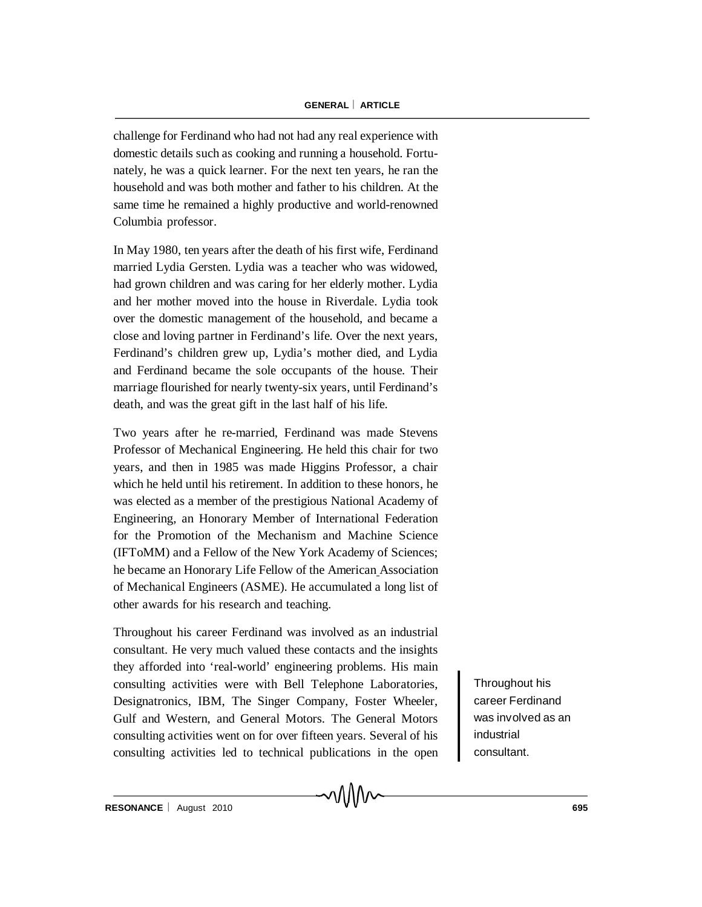challenge for Ferdinand who had not had any real experience with domestic details such as cooking and running a household. Fortunately, he was a quick learner. For the next ten years, he ran the household and was both mother and father to his children. At the same time he remained a highly productive and world-renowned Columbia professor.

In May 1980, ten years after the death of his first wife, Ferdinand married Lydia Gersten. Lydia was a teacher who was widowed, had grown children and was caring for her elderly mother. Lydia and her mother moved into the house in Riverdale. Lydia took over the domestic management of the household, and became a close and loving partner in Ferdinand's life. Over the next years, Ferdinand's children grew up, Lydia's mother died, and Lydia and Ferdinand became the sole occupants of the house. Their marriage flourished for nearly twenty-six years, until Ferdinand's death, and was the great gift in the last half of his life.

Two years after he re-married, Ferdinand was made Stevens Professor of Mechanical Engineering. He held this chair for two years, and then in 1985 was made Higgins Professor, a chair which he held until his retirement. In addition to these honors, he was elected as a member of the prestigious National Academy of Engineering, an Honorary Member of International Federation for the Promotion of the Mechanism and Machine Science (IFToMM) and a Fellow of the New York Academy of Sciences; he became an Honorary Life Fellow of the American Association of Mechanical Engineers (ASME). He accumulated a long list of other awards for his research and teaching.

Throughout his career Ferdinand was involved as an industrial consultant. He very much valued these contacts and the insights they afforded into 'real-world' engineering problems. His main consulting activities were with Bell Telephone Laboratories, Designatronics, IBM, The Singer Company, Foster Wheeler, Gulf and Western, and General Motors. The General Motors consulting activities went on for over fifteen years. Several of his consulting activities led to technical publications in the open

MMN

Throughout his career Ferdinand was involved as an industrial consultant.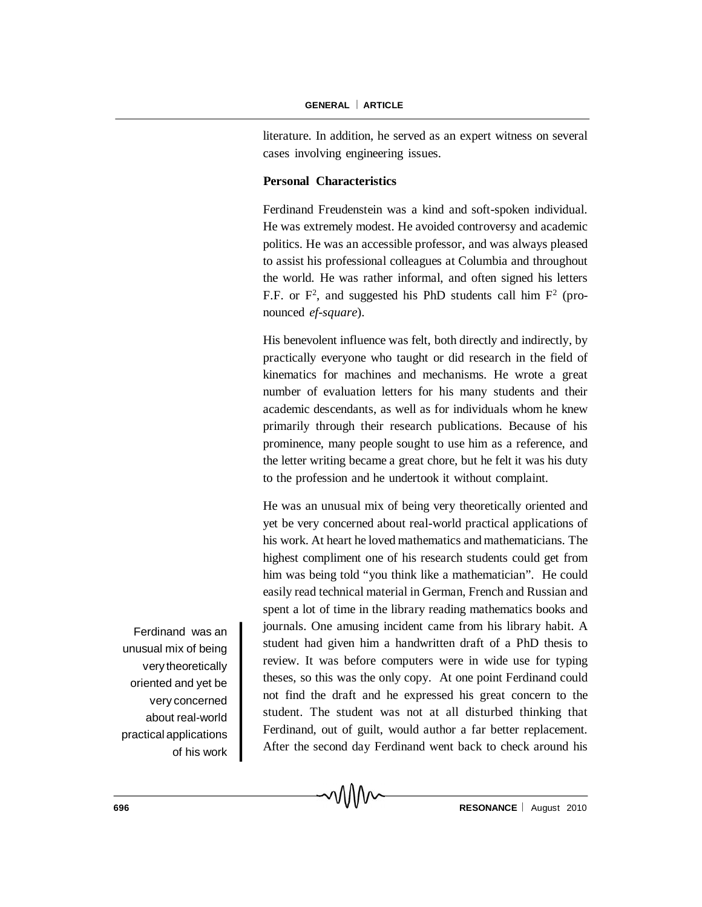literature. In addition, he served as an expert witness on several cases involving engineering issues.

#### **Personal Characteristics**

Ferdinand Freudenstein was a kind and soft-spoken individual. He was extremely modest. He avoided controversy and academic politics. He was an accessible professor, and was always pleased to assist his professional colleagues at Columbia and throughout the world. He was rather informal, and often signed his letters F.F. or  $F^2$ , and suggested his PhD students call him  $F^2$  (pronounced *ef-square*).

His benevolent influence was felt, both directly and indirectly, by practically everyone who taught or did research in the field of kinematics for machines and mechanisms. He wrote a great number of evaluation letters for his many students and their academic descendants, as well as for individuals whom he knew primarily through their research publications. Because of his prominence, many people sought to use him as a reference, and the letter writing became a great chore, but he felt it was his duty to the profession and he undertook it without complaint.

He was an unusual mix of being very theoretically oriented and yet be very concerned about real-world practical applications of his work. At heart he loved mathematics and mathematicians. The highest compliment one of his research students could get from him was being told "you think like a mathematician". He could easily read technical material in German, French and Russian and spent a lot of time in the library reading mathematics books and journals. One amusing incident came from his library habit. A student had given him a handwritten draft of a PhD thesis to review. It was before computers were in wide use for typing theses, so this was the only copy. At one point Ferdinand could not find the draft and he expressed his great concern to the student. The student was not at all disturbed thinking that Ferdinand, out of guilt, would author a far better replacement. After the second day Ferdinand went back to check around his

Ferdinand was an unusual mix of being very theoretically oriented and yet be very concerned about real-world practical applications of his work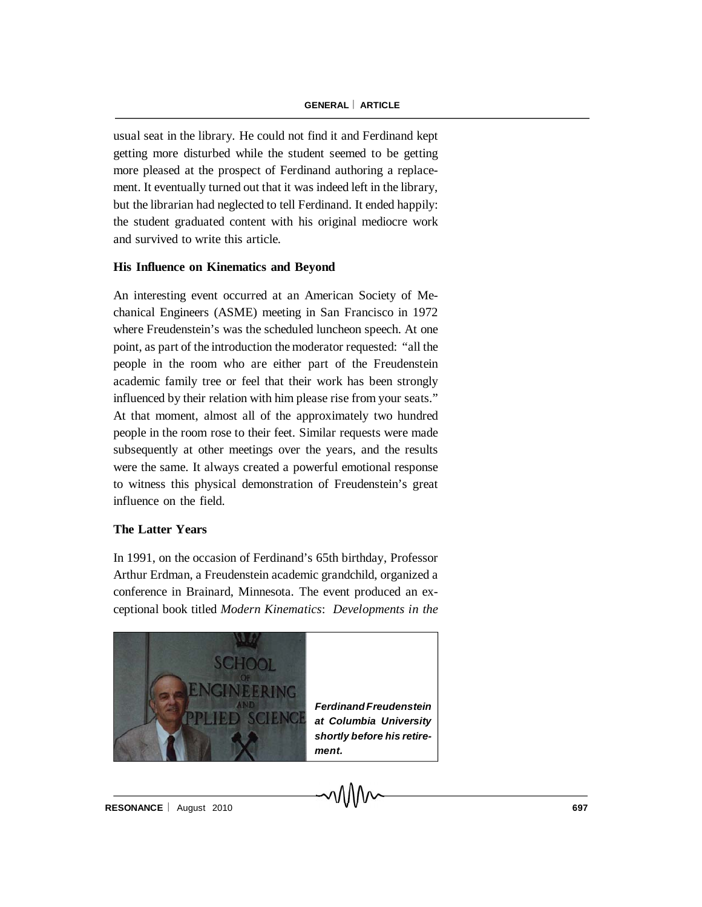usual seat in the library. He could not find it and Ferdinand kept getting more disturbed while the student seemed to be getting more pleased at the prospect of Ferdinand authoring a replacement. It eventually turned out that it was indeed left in the library, but the librarian had neglected to tell Ferdinand. It ended happily: the student graduated content with his original mediocre work and survived to write this article.

## **His Influence on Kinematics and Beyond**

An interesting event occurred at an American Society of Mechanical Engineers (ASME) meeting in San Francisco in 1972 where Freudenstein's was the scheduled luncheon speech. At one point, as part of the introduction the moderator requested: "all the people in the room who are either part of the Freudenstein academic family tree or feel that their work has been strongly influenced by their relation with him please rise from your seats." At that moment, almost all of the approximately two hundred people in the room rose to their feet. Similar requests were made subsequently at other meetings over the years, and the results were the same. It always created a powerful emotional response to witness this physical demonstration of Freudenstein's great influence on the field.

# **The Latter Years**

In 1991, on the occasion of Ferdinand's 65th birthday, Professor Arthur Erdman, a Freudenstein academic grandchild, organized a conference in Brainard, Minnesota. The event produced an exceptional book titled *Modern Kinematics*: *Developments in the*